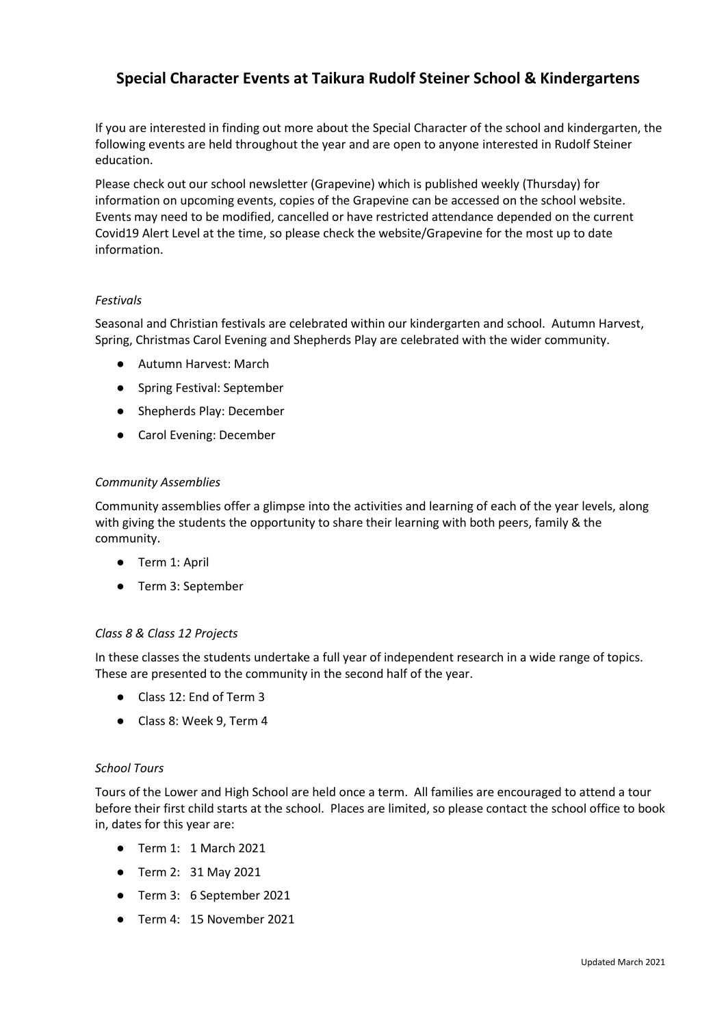# **Special Character Events at Taikura Rudolf Steiner School & Kindergartens**

If you are interested in finding out more about the Special Character of the school and kindergarten, the following events are held throughout the year and are open to anyone interested in Rudolf Steiner education.

Please check out our school newsletter (Grapevine) which is published weekly (Thursday) for information on upcoming events, copies of the Grapevine can be accessed on the school website. Events may need to be modified, cancelled or have restricted attendance depended on the current Covid19 Alert Level at the time, so please check the website/Grapevine for the most up to date information.

# *Festivals*

Seasonal and Christian festivals are celebrated within our kindergarten and school. Autumn Harvest, Spring, Christmas Carol Evening and Shepherds Play are celebrated with the wider community.

- Autumn Harvest: March
- Spring Festival: September
- Shepherds Play: December
- Carol Evening: December

# *Community Assemblies*

Community assemblies offer a glimpse into the activities and learning of each of the year levels, along with giving the students the opportunity to share their learning with both peers, family & the community.

- Term 1: April
- Term 3: September

# *Class 8 & Class 12 Projects*

In these classes the students undertake a full year of independent research in a wide range of topics. These are presented to the community in the second half of the year.

- Class 12: End of Term 3
- Class 8: Week 9, Term 4

# *School Tours*

Tours of the Lower and High School are held once a term. All families are encouraged to attend a tour before their first child starts at the school. Places are limited, so please contact the school office to book in, dates for this year are:

- Term 1: 1 March 2021
- Term 2: 31 May 2021
- Term 3: 6 September 2021
- Term 4: 15 November 2021